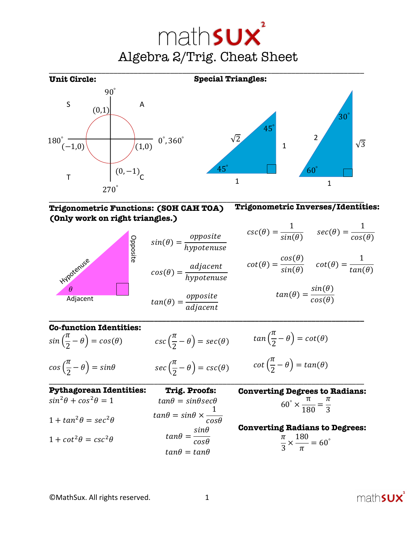



**Trigonometric Functions: (SOH CAH TOA) (Only work on right triangles.) Trigonometric Inverses/Identities:**

 $csc(\theta) = \frac{1}{sin(\theta)}$   $sec(\theta) = \frac{1}{cos(\theta)}$ 

$$
cot(\theta) = \frac{cos(\theta)}{sin(\theta)} \quad \cot(\theta) = \frac{1}{tan(\theta)}
$$

$$
tan(\theta) = \frac{sin(\theta)}{cos(\theta)}
$$

Hypotenuse  $\theta$ Adjacent Opposite

 $cos(\theta) = \frac{adjacent}{hypotenuse}$  $tan(\theta) = \frac{opposite}{adjacent}$ 

 $sin(\theta) = \frac{opposite}{hypotenuse}$ 

**\_\_\_\_\_\_\_\_\_\_\_\_\_\_\_\_\_\_\_\_\_\_\_\_\_\_\_\_\_\_\_\_\_\_\_\_\_\_\_\_\_\_\_\_\_\_\_\_\_\_\_\_\_\_\_\_\_\_\_\_\_\_\_\_\_\_\_\_\_\_\_\_\_\_\_\_\_\_**

# **Co-function Identities:**

sin (  $\pi$  $\frac{\pi}{2} - \theta$ ) =  $cos(\theta)$ cos (  $\pi$  $\left(\frac{\pi}{2} - \theta\right) = \sin\theta$ csc (  $\pi$  $\frac{\pi}{2} - \theta$ ) = sec( $\theta$ ) sec (  $\pi$  $\frac{\pi}{2} - \theta$ ) = csc( $\theta$ )

$$
tan\left(\frac{\pi}{2} - \theta\right) = cot(\theta)
$$

$$
cot\left(\frac{\pi}{2} - \theta\right) = tan(\theta)
$$

\_\_\_\_\_\_\_\_\_\_\_\_\_\_\_\_\_\_\_\_\_\_\_\_\_\_\_\_\_\_\_\_\_\_\_\_\_\_\_\_\_\_\_\_\_\_\_\_\_\_\_\_\_\_\_\_\_\_\_\_\_\_\_\_\_\_\_\_\_\_\_\_\_\_\_\_\_\_ **Pythagorean Identities:**  $\sin^2\theta + \cos^2\theta = 1$  $1 + tan^2\theta = sec^2\theta$  $1 + \cot^2 \theta = \csc^2 \theta$ **Trig. Proofs:**  $tan\theta = sin\theta sec\theta$  $tan\theta = sin\theta \times$ 1  $cos\theta$  $tan\theta = \frac{sin\theta}{cos\theta}$  $tan\theta = tan\theta$ 

**Converting Degrees to Radians:**  $60^\circ \times \frac{\pi}{180} = \frac{\pi}{3}$ 

#### **Converting Radians to Degrees:**  $\pi$  $\frac{1}{3}$   $\times$  $\frac{180}{\pi}$  = 60°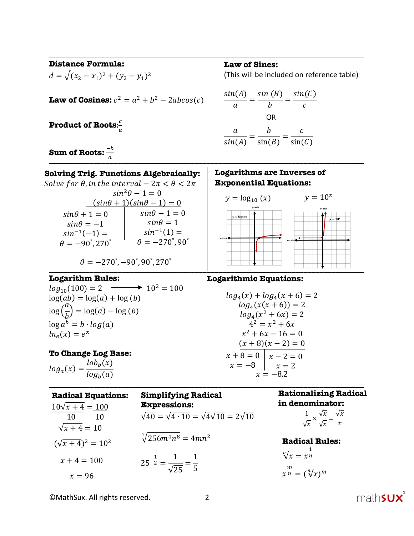\_\_\_\_\_\_\_\_\_\_\_\_\_\_\_\_\_\_\_\_\_\_\_\_\_\_\_\_\_\_\_\_\_\_\_\_\_\_\_\_\_\_\_\_\_\_\_\_\_\_\_\_\_\_\_\_\_\_\_\_\_\_\_\_\_\_\_\_\_\_\_\_\_\_\_\_\_\_ **Distance Formula:**  $d = \sqrt{(x_2 - x_1)^2 + (y_2 - y_1)^2}$ **Law of Cosines:**  $c^2 = a^2 + b^2 - 2abcos(c)$ **Product of Roots:** a

 $\frac{\sin(A)}{a} = \frac{\sin(B)}{b} = \frac{\sin(C)}{c}$ 

(This will be included on reference table)

**Law of Sines:**

$$
\frac{a}{\sin(A)} = \frac{b}{\sin(B)} = \frac{c}{\sin(C)}
$$

OR

 $a$  , and the contract of the contract of the contract of the contract of the contract of the contract of the contract of the contract of the contract of the contract of the contract of the contract of the contract of the  $\mathbf{Sum\ of\ Roots:} \frac{-b}{a}$ 

**Solving Trig. Functions Algebraically:** Solve for  $\theta$ , in the interval  $-2\pi < \theta < 2\pi$  $sin^2\theta - 1 = 0$  $(sin\theta + 1)(sin\theta - 1) = 0$  $sin\theta + 1 = 0$  $sin\theta = -1$  $sin^{-1}(-1) =$  $\theta = -90^{\circ}, 270^{\circ}$  $sin\theta - 1 = 0$  $sin\theta = 1$  $sin^{-1}(1) =$  $\theta = -270^{\circ}, 90^{\circ}$  $\theta = -270^{\circ}, -90^{\circ}, 90^{\circ}, 270^{\circ}$  $y = log_{10}(x)$   $y = 10^x$ **Logarithms are Inverses of Exponential Equations:**

#### **Logarithm Rules:**

 $log_{10}(100) = 2$   $\longrightarrow 10^2 = 100$  $log(ab) = log(a) + log(b)$  $\log\left(\frac{a}{b}\right) = \log(a) - \log(b)$  $\overline{a}$  $\log a^b = b \cdot \log(a)$  $\ln_e(x) = e^x$ 

## **To Change Log Base:**

 $log_a(x) = \frac{lob_b(x)}{log_a(x)}$  $log_b(a)$ 

 $(\sqrt{x+4})^2 = 10^2$ 

| $log_a(x) = \frac{log_b(x)}{log_b(a)}$                     | $x = -8$ $x = 2$<br>$x = -8.2$                                                                                         |                                                                                                                              |  |
|------------------------------------------------------------|------------------------------------------------------------------------------------------------------------------------|------------------------------------------------------------------------------------------------------------------------------|--|
| <b>Radical Equations:</b><br>$10\sqrt{x+4} = 100$<br>10 10 | <b>Simplifying Radical</b><br><b>Expressions:</b><br>$\sqrt{40} = \sqrt{4 \cdot 10} = \sqrt{4} \sqrt{10} = 2\sqrt{10}$ | <b>Rationalizing Radica</b><br>in denominator:<br>$\frac{1}{\sqrt{x}} \times \frac{\sqrt{x}}{\sqrt{x}} = \frac{\sqrt{x}}{x}$ |  |
| $\sqrt{x+4} = 10$                                          |                                                                                                                        |                                                                                                                              |  |
| $(1 + 4)$ $(10)$                                           | $\sqrt[4]{256m^4n^8} = 4mn^2$                                                                                          | <b>Radical Rules</b>                                                                                                         |  |

 $\overline{\phantom{a}}$  ,  $\overline{\phantom{a}}$  ,  $\overline{\phantom{a}}$  ,  $\overline{\phantom{a}}$  ,  $\overline{\phantom{a}}$  ,  $\overline{\phantom{a}}$  ,  $\overline{\phantom{a}}$  ,  $\overline{\phantom{a}}$  ,  $\overline{\phantom{a}}$  ,  $\overline{\phantom{a}}$  ,  $\overline{\phantom{a}}$  ,  $\overline{\phantom{a}}$  ,  $\overline{\phantom{a}}$  ,  $\overline{\phantom{a}}$  ,  $\overline{\phantom{a}}$  ,  $\overline{\phantom{a}}$ 

 $25^{-\frac{1}{2}} = \frac{1}{\sqrt{25}} = \frac{1}{5}$  $x + 4 = 100$  $x = 96$ 

# $log_a(x) + log_a(x + 6) = 2$

 **Logarithmic Equations:**

$$
log_4(x(x+6)) = 2
$$
  
\n
$$
log_4(x^2+6x) = 2
$$
  
\n
$$
4^2 = x^2 + 6x
$$
  
\n
$$
x^2 + 6x - 16 = 0
$$
  
\n
$$
(x+8)(x-2) = 0
$$
  
\n
$$
x+8 = 0
$$
  
\n
$$
x-2 = 0
$$
  
\n
$$
x = -8,2
$$

**Radical Rules:**  $\sqrt[n]{x} = x^{\frac{1}{n}}$  $\overline{n}$  $x^{\frac{m}{n}} = (\sqrt[n]{x})^m$ 

©MathSux. All rights reserved. 2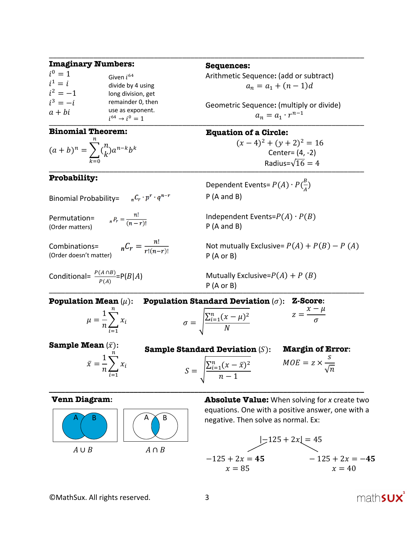| <b>Imaginary Numbers:</b>                          |                                                                                |  |  |
|----------------------------------------------------|--------------------------------------------------------------------------------|--|--|
| $i^0 = 1$<br>$i^1 = i$<br>$i^2 = -1$<br>$i^3 = -i$ | Given $i^{64}$<br>divide by 4 using<br>long division, get<br>remainder 0, then |  |  |
| $a + bi$                                           | use as exponent.<br>$i^{64} \rightarrow i^0 = 1$                               |  |  |

#### **Binomial Theorem:**

$$
(a+b)^n = \sum_{k=0}^n {n \choose k} a^{n-k} b^k
$$

#### **Probability:**

Binomial Probability=  $n^C r \cdot p^r \cdot q^{n-r}$ 

Permutation= (Order matters)

 $_{n}P_{r}=\frac{n!}{(n-r)!}$ 

 $_{n}C_{r}=\frac{n!}{r!(n-r)!}$ Combinations= (Order doesn't matter)

$$
Conditional = \frac{P(A \cap B)}{P(A)} = P(B|A)
$$

**Sequences:**

\_\_\_\_\_\_\_\_\_\_\_\_\_\_\_\_\_\_\_\_\_\_\_\_\_\_\_\_\_\_\_\_\_\_\_\_\_\_\_\_\_\_\_\_\_\_\_\_\_\_\_\_\_\_\_\_\_\_\_\_\_\_\_\_\_\_\_\_\_\_\_\_\_\_\_\_\_\_

Arithmetic Sequence**:** (add or subtract)  $a_n = a_1 + (n-1)d$ 

 $l^{c}$   $\rightarrow$   $l^{c}$   $\rightarrow$   $l^{c}$   $\rightarrow$   $l^{c}$   $\rightarrow$   $l^{c}$ Geometric Sequence**:** (multiply or divide)  $a_n = a_1 \cdot r^{n-1}$ 

# **Equation of a Circle:**

 $\frac{1}{2}$  . The condex  $\frac{1}{2}$  is  $\frac{1}{2}$  . The condex  $\frac{1}{2}$  is  $\frac{1}{2}$  . The condex  $\frac{1}{2}$  is  $\frac{1}{2}$  . The condex of  $\frac{1}{2}$  is  $\frac{1}{2}$  . The condex of  $\frac{1}{2}$  is  $\frac{1}{2}$  . The condex of  $\frac{1}{2}$  $(x-4)^2 + (y+2)^2 = 16$ Center= (4, -2) Radius= $\sqrt{16} = 4$ 

> Dependent Events=  $P(A) \cdot P(\frac{B}{A})$  $\frac{P}{A}$ P (A and B)

Independent Events= $P(A) \cdot P(B)$ P (A and B)

Not mutually Exclusive=  $P(A) + P(B) - P(A)$ P (A or B)

 $\vdash$   $\vdash$   $\downarrow$   $\uparrow$   $\uparrow$   $\uparrow$   $\uparrow$   $\uparrow$   $\uparrow$   $\uparrow$   $\uparrow$   $\uparrow$   $\uparrow$   $\uparrow$   $\uparrow$   $\uparrow$   $\uparrow$   $\uparrow$   $\uparrow$   $\uparrow$   $\uparrow$   $\uparrow$   $\uparrow$   $\uparrow$   $\uparrow$   $\uparrow$   $\uparrow$   $\uparrow$   $\uparrow$   $\uparrow$   $\uparrow$   $\uparrow$   $\uparrow$   $\uparrow$   $\uparrow$   $\uparrow$   $\uparrow$ Mutually Exclusive= $P(A) + P(B)$ P (A or B)

**Population Standard Deviation**  $(\sigma)$ : **Z-Score**:  $z = \frac{x - \mu}{\sigma}$ **Margin of Error:**  $MOE = z \times$  $\mathcal{S}_{0}$  $\sqrt{n}$ **Sample Mean**  $(\bar{x})$ :  $\bar{x} = \frac{1}{n} \sum_{i=1}^{n} x_i$  $\overline{n}$ **Sample Standard Deviation** (S):  $S = \frac{\sum_{i=1}^{n} (x - \bar{x})^2}{1}$ **Population Mean**  $(\mu)$ :  $\mu = \frac{1}{n} \sum_{i=1}^{n} x_i$  $\boldsymbol{n}$  $i=1$  $\sigma = \frac{\sum_{i=1}^{n}(x-\mu)^2}{N}$  $\overline{N}$ 

**\_\_\_\_\_\_\_\_\_\_\_\_\_\_\_\_\_\_\_\_\_\_\_\_\_\_\_\_\_\_\_\_\_\_\_\_\_\_\_\_\_\_\_\_\_\_\_\_\_\_\_\_\_\_\_\_\_\_\_\_\_\_\_\_\_\_\_\_\_\_\_\_\_\_\_\_\_\_**

 $n-1$ 

**Venn Diagram:**



 $i=1$ 

**Absolute Value:** When solving for *x* create two equations. One with a positive answer, one with a negative. Then solve as normal. Ex:

$$
|-125 + 2x| = 45
$$
  
-125 + 2x = 45  
x = 85  
 $x = 40$   
 $x = 40$ 

©MathSux. All rights reserved. 3

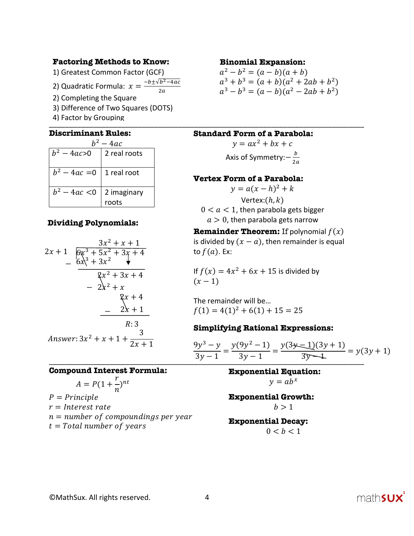## **Factoring Methods to Know:**

1) Greatest Common Factor (GCF)

2) Quadratic Formula:  $x = \frac{-b \pm \sqrt{b^2 - 4ac}}{2a}$ 

- 2) Completing the Square
- 3) Difference of Two Squares (DOTS)
- \_\_\_\_\_\_\_\_\_\_\_\_\_\_\_\_\_\_\_\_\_\_\_\_\_\_\_\_\_\_\_\_\_\_\_\_\_\_\_\_\_\_\_\_\_\_\_\_\_\_\_\_\_\_\_\_\_\_\_\_\_\_\_\_\_\_\_\_\_\_\_\_\_\_\_\_\_\_ 4) Factor by Grouping

## **Discriminant Rules:**

| $-4ac$                        |                      |  |  |  |
|-------------------------------|----------------------|--|--|--|
| $b^2 - 4ac > 0$               | 2 real roots         |  |  |  |
| $b^2 - 4ac = 0$   1 real root |                      |  |  |  |
| $b^2 - 4ac < 0$               | 2 imaginary<br>roots |  |  |  |

## **Dividing Polynomials:**

$$
2x + 1 \overline{\big)6x^3 + 5x^2 + 3x + 4}
$$
\n
$$
- 6x^3 + 3x^2
$$
\n
$$
- 2x^2 + x
$$
\n
$$
- 2x + 1
$$
\n
$$
- 2x + 1
$$
\n
$$
R:3
$$
\n
$$
Answer: 3x^2 + x + 1 + \frac{3}{2x + 1}
$$

#### **Compound Interest Formula:**

$$
A = P(1 + \frac{r}{n})^{nt}
$$

 $P = Principle$  $r = Interest rate$  $n = number of compoundings per year$  $t = Total number of years$ 

#### **Binomial Expansion:**

$$
a2 - b2 = (a - b)(a + b)
$$
  
\n
$$
a3 + b3 = (a + b)(a2 + 2ab + b2)
$$
  
\n
$$
a3 - b3 = (a - b)(a2 - 2ab + b2)
$$

#### **Standard Form of a Parabola:**

 $y = ax^2 + bx + c$ Axis of Symmetry: $-\frac{b}{2a}$ 

## **Vertex Form of a Parabola:**

 $y = a(x - h)^2 + k$ Vertex: $(h, k)$  $0 < a < 1$ , then parabola gets bigger  $a > 0$ , then parabola gets narrow

**Remainder Theorem:** If polynomial  $f(x)$ is divided by  $(x - a)$ , then remainder is equal to  $f(a)$ . Ex:

If  $f(x) = 4x^2 + 6x + 15$  is divided by  $(x - 1)$ 

The remainder will be…  $f(1) = 4(1)^{2} + 6(1) + 15 = 25$ 

## **Simplifying Rational Expressions:**

$$
\frac{9y^3 - y}{3y - 1} = \frac{y(9y^2 - 1)}{3y - 1} = \frac{y(3y - 1)(3y + 1)}{3y - 1} = y(3y + 1)
$$

**Exponential Equation:**  $v = ab^x$ 

**Exponential Growth:**  $b > 1$ 

#### **Exponential Decay:**  $0 < b < 1$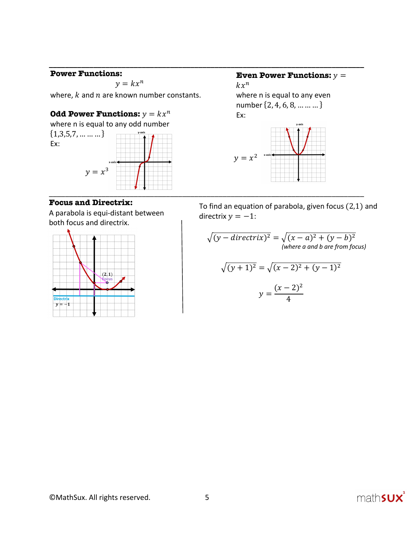## **Power Functions:**

 $y = kx^n$ 

**\_\_\_\_\_\_\_\_\_\_\_\_\_\_\_\_\_\_\_\_\_\_\_\_\_\_\_\_\_\_\_\_\_\_\_\_\_\_\_\_\_\_\_\_\_\_\_\_\_\_\_\_\_\_\_\_\_\_\_\_\_\_\_\_\_\_\_\_\_\_\_\_\_\_\_\_\_\_**

where,  $k$  and  $n$  are known number constants.

## **Odd Power Functions:**  $y = kx^n$

where n is equal to any odd number  $\{1,3,5,7,\ldots \ldots \}$ Ex:



## $kx^n$

**Even Power Functions:**  $y =$ 

where n is equal to any even number {2, 4, 6, 8, … … … } Ex:



**Focus and Directrix:**

A parabola is equi-distant between both focus and directrix.



 To find an equation of parabola, given focus (2,1) and directrix  $y = -1$ :

$$
\sqrt{(y - directrix)^2} = \sqrt{(x - a)^2 + (y - b)^2}
$$
  
(where a and b are from focus)  

$$
\sqrt{(y + 1)^2} = \sqrt{(x - 2)^2 + (y - 1)^2}
$$

$$
(y + 1)^2 = \sqrt{(x - 2)^2 + (y - 1)}
$$

$$
y = \frac{(x - 2)^2}{4}
$$

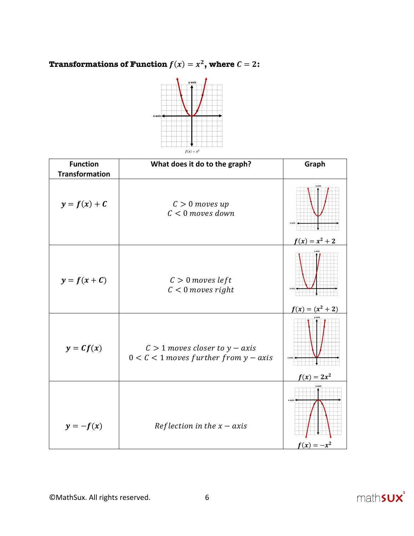**Transformations of Function**  $f(x) = x^2$ **, where**  $C = 2$ **:** 



| <b>Function</b><br><b>Transformation</b> | What does it do to the graph?                                                   | Graph                  |
|------------------------------------------|---------------------------------------------------------------------------------|------------------------|
| $y = f(x) + C$                           | $C > 0$ moves up<br>$C < 0$ moves down                                          | $f(x) = x^2 + 2$       |
| $y = f(x + C)$                           | $C > 0$ moves left<br>$C < 0$ moves right                                       | $f(x) = (x^2 + 2)$     |
| $y = Cf(x)$                              | $C > 1$ moves closer to $y - axis$<br>$0 < C < 1$ moves further from $y - axis$ | $f(x) = 2x^2$          |
| $y = -f(x)$                              | Reflection in the $x - axis$                                                    | x-axi<br>$f(x) = -x^2$ |